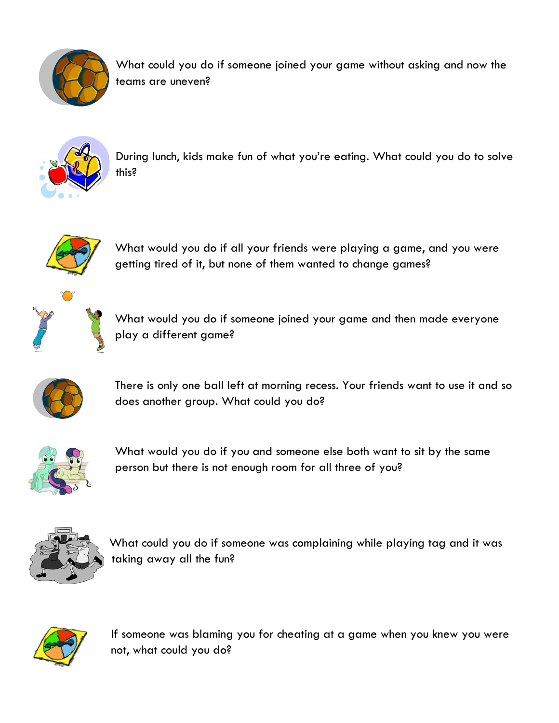

What could you do if someone joined your game without asking and now the teams are uneven?



During lunch, kids make fun of what you're eating. What could you do to solve this?



What would you do if all your friends were playing a game, and you were getting tired of it, but none of them wanted to change games?



What would you do if someone joined your game and then made everyone play a different game?



There is only one ball left at morning recess. Your friends want to use it and so does another group. What could you do?



What would you do if you and someone else both want to sit by the same person but there is not enough room for all three of you?



What could you do if someone was complaining while playing tag and it was taking away all the fun?



If someone was blaming you for cheating at a game when you knew you were not, what could you do?